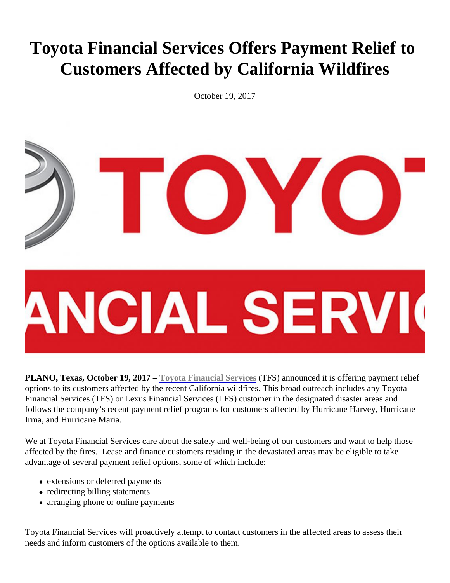## Toyota Financial Services Offers Payment Relief to Customers Affected by California Wildfires

October 19, 2017

PLANO, Texas, October 19, 2017 - Toyota Financial Services (TFS) announced it is offering payment relief options to its customers affected by the recent California wildfires. This broad outreach includes any Toyota Financial Services (TFS) or Lexus Financial Services (LFS) customer in the designated disaster areas and follows the company's recent payment relief programs for customers affected by Hurricane Harvey, Hurricane Irma, and Hurricane Maria.

We at Toyota Financial Services care about the safety and well-being of our customers and want to help those affected by the fires. Lease and finance customers residing in the devastated areas may be eligible to take advantage of several payment relief options, some of which include:

- extensions or deferred payments
- redirecting billing statements
- arranging phone or online payments

Toyota Financial Services will proactively attempt to contact customers in the affected areas to assess their needs and inform customers of the options available to them.